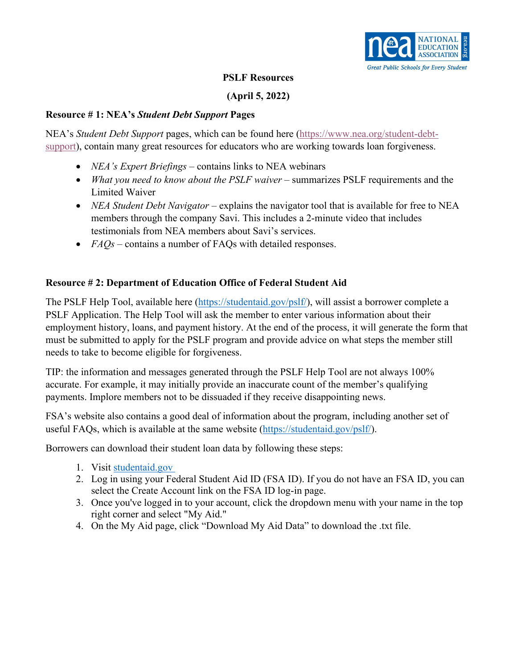

#### **PSLF Resources**

# **(April 5, 2022)**

#### **Resource # 1: NEA's** *Student Debt Support* **Pages**

 NEA's *Student Debt Support* pages, which can be found here [\(https://www.nea.org/student-debt](https://www.nea.org/student-debt-support)[support\)](https://www.nea.org/student-debt-support), contain many great resources for educators who are working towards loan forgiveness.

- *NEA's Expert Briefings* contains links to NEA webinars
- *What you need to know about the PSLF waiver* summarizes PSLF requirements and the Limited Waiver
- *NEA Student Debt Navigator* explains the navigator tool that is available for free to NEA members through the company Savi. This includes a 2-minute video that includes testimonials from NEA members about Savi's services.
- *FAQs* contains a number of FAQs with detailed responses.

# **Resource # 2: Department of Education Office of Federal Student Aid**

The PSLF Help Tool, available here [\(https://studentaid.gov/pslf/\)](https://studentaid.gov/pslf/), will assist a borrower complete a PSLF Application. The Help Tool will ask the member to enter various information about their employment history, loans, and payment history. At the end of the process, it will generate the form that must be submitted to apply for the PSLF program and provide advice on what steps the member still needs to take to become eligible for forgiveness.

TIP: the information and messages generated through the PSLF Help Tool are not always 100% accurate. For example, it may initially provide an inaccurate count of the member's qualifying payments. Implore members not to be dissuaded if they receive disappointing news.

FSA's website also contains a good deal of information about the program, including another set of useful FAQs, which is available at the same website [\(https://studentaid.gov/pslf/\)](https://studentaid.gov/pslf/).

Borrowers can download their student loan data by following these steps:

- 1. Visit studentaid.gov
- 2. Log in using your Federal Student Aid ID (FSA ID). If you do not have an FSA ID, you can select the Create Account link on the FSA ID log-in page.
- 3. Once you've logged in to your account, click the dropdown menu with your name in the top right corner and select "My Aid."
- 4. On the My Aid page, click "Download My Aid Data" to download the .txt file.